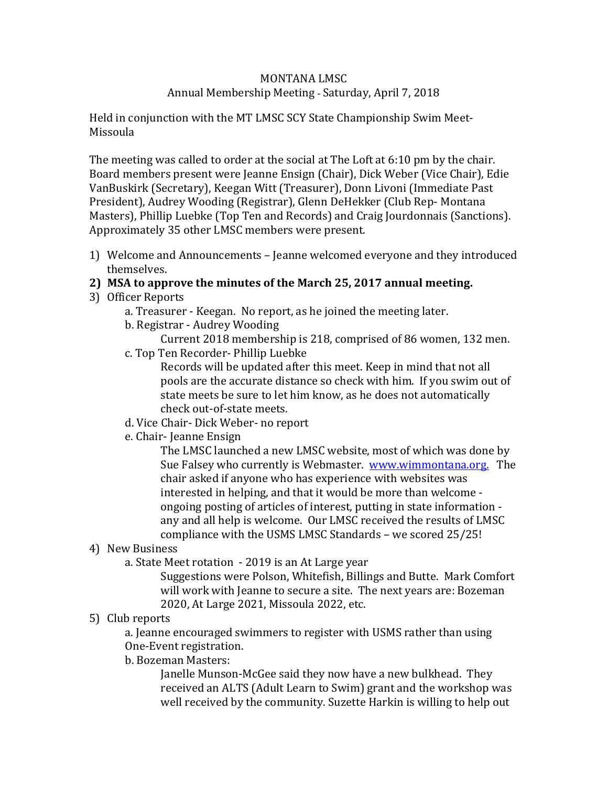# MONTANA LMSC

## Annual Membership Meeting - Saturday, April 7, 2018

Held in conjunction with the MT LMSC SCY State Championship Swim Meet-Missoula

The meeting was called to order at the social at The Loft at 6:10 pm by the chair. Board members present were Jeanne Ensign (Chair), Dick Weber (Vice Chair), Edie VanBuskirk (Secretary), Keegan Witt (Treasurer), Donn Livoni (Immediate Past President), Audrey Wooding (Registrar), Glenn DeHekker (Club Rep- Montana Masters), Phillip Luebke (Top Ten and Records) and Craig Jourdonnais (Sanctions). Approximately 35 other LMSC members were present.

- 1) Welcome and Announcements Jeanne welcomed everyone and they introduced themselves.
- **2) MSA to approve the minutes of the March 25, 2017 annual meeting.**
- 3) Officer Reports
	- a. Treasurer Keegan. No report, as he joined the meeting later.
	- b. Registrar Audrey Wooding

Current 2018 membership is 218, comprised of 86 women, 132 men.

c. Top Ten Recorder- Phillip Luebke

Records will be updated after this meet. Keep in mind that not all pools are the accurate distance so check with him. If you swim out of state meets be sure to let him know, as he does not automatically check out-of-state meets.

- d. Vice Chair- Dick Weber- no report
- e. Chair- Jeanne Ensign

The LMSC launched a new LMSC website, most of which was done by Sue Falsey who currently is Webmaster. [www.wimmontana.org.](http://www.wimmontana.org/) The chair asked if anyone who has experience with websites was interested in helping, and that it would be more than welcome ongoing posting of articles of interest, putting in state information any and all help is welcome. Our LMSC received the results of LMSC compliance with the USMS LMSC Standards – we scored 25/25!

## 4) New Business

a. State Meet rotation - 2019 is an At Large year

Suggestions were Polson, Whitefish, Billings and Butte. Mark Comfort will work with Jeanne to secure a site. The next years are: Bozeman 2020, At Large 2021, Missoula 2022, etc.

## 5) Club reports

a. Jeanne encouraged swimmers to register with USMS rather than using One-Event registration.

## b. Bozeman Masters:

Janelle Munson-McGee said they now have a new bulkhead. They received an ALTS (Adult Learn to Swim) grant and the workshop was well received by the community. Suzette Harkin is willing to help out